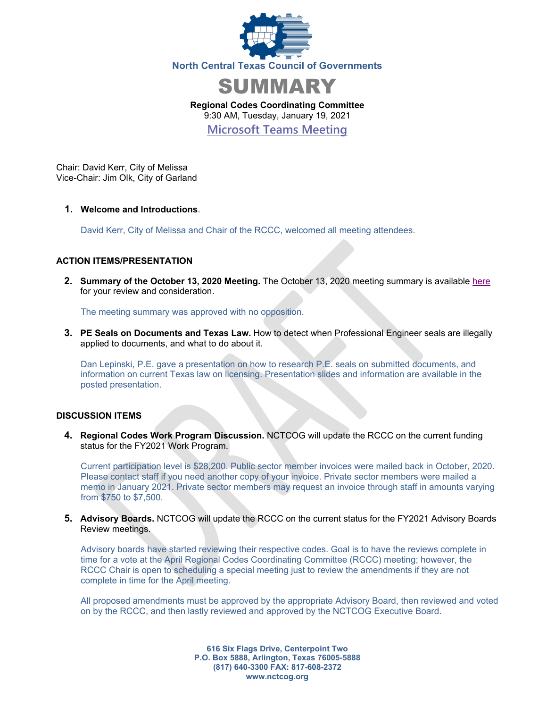



**Regional Codes Coordinating Committee**  9:30 AM, Tuesday, January 19, 2021

**Microsoft Teams Meeting**

Chair: David Kerr, City of Melissa Vice-Chair: Jim Olk, City of Garland

### **1. Welcome and Introductions**.

David Kerr, City of Melissa and Chair of the RCCC, welcomed all meeting attendees.

## **ACTION ITEMS/PRESENTATION**

**2. Summary of the October 13, 2020 Meeting.** The October 13, 2020 meeting summary is available here for your review and consideration.

The meeting summary was approved with no opposition.

**3. PE Seals on Documents and Texas Law.** How to detect when Professional Engineer seals are illegally applied to documents, and what to do about it.

Dan Lepinski, P.E. gave a presentation on how to research P.E. seals on submitted documents, and information on current Texas law on licensing. Presentation slides and information are available in the posted presentation.

#### **DISCUSSION ITEMS**

**4. Regional Codes Work Program Discussion.** NCTCOG will update the RCCC on the current funding status for the FY2021 Work Program.

Current participation level is \$28,200. Public sector member invoices were mailed back in October, 2020. Please contact staff if you need another copy of your invoice. Private sector members were mailed a memo in January 2021. Private sector members may request an invoice through staff in amounts varying from \$750 to \$7,500.

**5. Advisory Boards.** NCTCOG will update the RCCC on the current status for the FY2021 Advisory Boards Review meetings.

Advisory boards have started reviewing their respective codes. Goal is to have the reviews complete in time for a vote at the April Regional Codes Coordinating Committee (RCCC) meeting; however, the RCCC Chair is open to scheduling a special meeting just to review the amendments if they are not complete in time for the April meeting.

All proposed amendments must be approved by the appropriate Advisory Board, then reviewed and voted on by the RCCC, and then lastly reviewed and approved by the NCTCOG Executive Board.

> **616 Six Flags Drive, Centerpoint Two P.O. Box 5888, Arlington, Texas 76005-5888 (817) 640-3300 FAX: 817-608-2372 www.nctcog.org**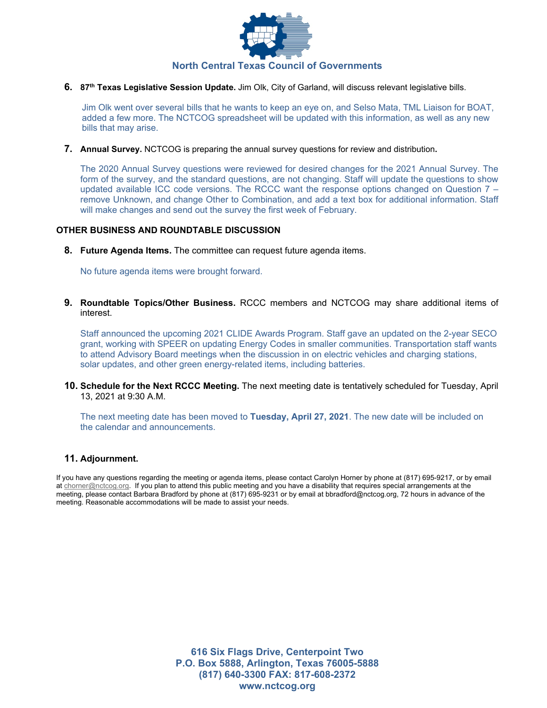

**6. 87th Texas Legislative Session Update.** Jim Olk, City of Garland, will discuss relevant legislative bills.

Jim Olk went over several bills that he wants to keep an eye on, and Selso Mata, TML Liaison for BOAT, added a few more. The NCTCOG spreadsheet will be updated with this information, as well as any new bills that may arise.

**7. Annual Survey.** NCTCOG is preparing the annual survey questions for review and distribution**.** 

The 2020 Annual Survey questions were reviewed for desired changes for the 2021 Annual Survey. The form of the survey, and the standard questions, are not changing. Staff will update the questions to show updated available ICC code versions. The RCCC want the response options changed on Question 7 – remove Unknown, and change Other to Combination, and add a text box for additional information. Staff will make changes and send out the survey the first week of February.

#### **OTHER BUSINESS AND ROUNDTABLE DISCUSSION**

**8. Future Agenda Items.** The committee can request future agenda items.

No future agenda items were brought forward.

**9. Roundtable Topics/Other Business.** RCCC members and NCTCOG may share additional items of interest.

Staff announced the upcoming 2021 CLIDE Awards Program. Staff gave an updated on the 2-year SECO grant, working with SPEER on updating Energy Codes in smaller communities. Transportation staff wants to attend Advisory Board meetings when the discussion in on electric vehicles and charging stations, solar updates, and other green energy-related items, including batteries.

**10. Schedule for the Next RCCC Meeting.** The next meeting date is tentatively scheduled for Tuesday, April 13, 2021 at 9:30 A.M.

The next meeting date has been moved to **Tuesday, April 27, 2021**. The new date will be included on the calendar and announcements.

#### **11. Adjournment.**

If you have any questions regarding the meeting or agenda items, please contact Carolyn Horner by phone at (817) 695-9217, or by email at chorner@nctcog.org. If you plan to attend this public meeting and you have a disability that requires special arrangements at the meeting, please contact Barbara Bradford by phone at (817) 695-9231 or by email at bbradford@nctcog.org, 72 hours in advance of the meeting. Reasonable accommodations will be made to assist your needs.

> **616 Six Flags Drive, Centerpoint Two P.O. Box 5888, Arlington, Texas 76005-5888 (817) 640-3300 FAX: 817-608-2372 www.nctcog.org**